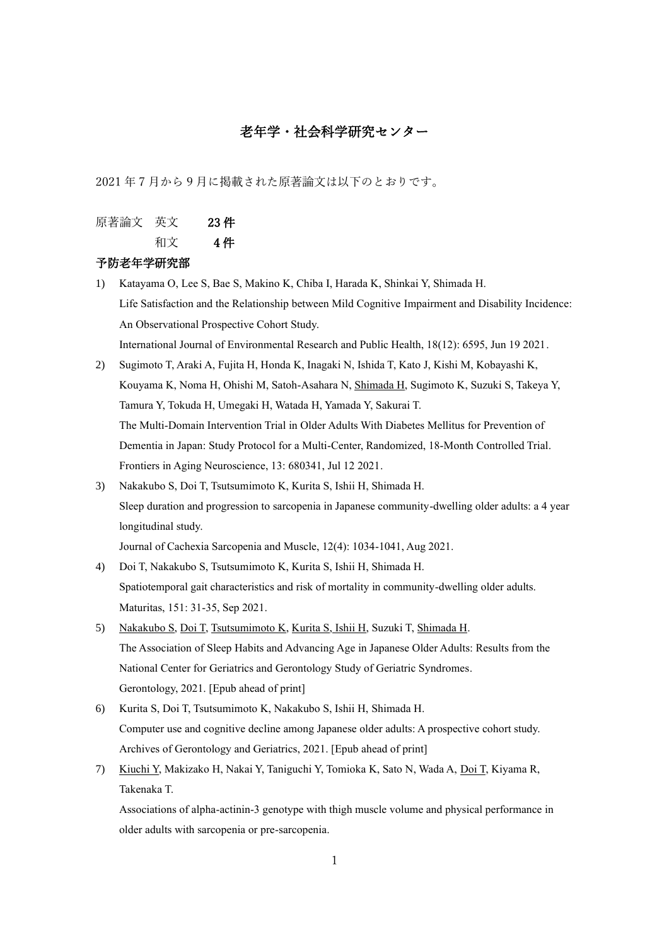# 老年学・社会科学研究センター

2021 年 7 月から 9 月に掲載された原著論文は以下のとおりです。

原著論文 英文 23件

和文 4 件

### 予防老年学研究部

- 1) Katayama O, Lee S, Bae S, Makino K, Chiba I, Harada K, Shinkai Y, Shimada H. Life Satisfaction and the Relationship between Mild Cognitive Impairment and Disability Incidence: An Observational Prospective Cohort Study. International Journal of Environmental Research and Public Health, 18(12): 6595, Jun 19 2021. 2) Sugimoto T, Araki A, Fujita H, Honda K, Inagaki N, Ishida T, Kato J, Kishi M, Kobayashi K, Kouyama K, Noma H, Ohishi M, Satoh-Asahara N, Shimada H, Sugimoto K, Suzuki S, Takeya Y, Tamura Y, Tokuda H, Umegaki H, Watada H, Yamada Y, Sakurai T. The Multi-Domain Intervention Trial in Older Adults With Diabetes Mellitus for Prevention of Dementia in Japan: Study Protocol for a Multi-Center, Randomized, 18-Month Controlled Trial. Frontiers in Aging Neuroscience, 13: 680341, Jul 12 2021. 3) Nakakubo S, Doi T, Tsutsumimoto K, Kurita S, Ishii H, Shimada H.
- Sleep duration and progression to sarcopenia in Japanese community-dwelling older adults: a 4 year longitudinal study.

Journal of Cachexia Sarcopenia and Muscle, 12(4): 1034-1041, Aug 2021.

- 4) Doi T, Nakakubo S, Tsutsumimoto K, Kurita S, Ishii H, Shimada H. Spatiotemporal gait characteristics and risk of mortality in community-dwelling older adults. Maturitas, 151: 31-35, Sep 2021.
- 5) Nakakubo S, Doi T, Tsutsumimoto K, Kurita S, Ishii H, Suzuki T, Shimada H. The Association of Sleep Habits and Advancing Age in Japanese Older Adults: Results from the National Center for Geriatrics and Gerontology Study of Geriatric Syndromes. Gerontology, 2021. [Epub ahead of print]
- 6) Kurita S, Doi T, Tsutsumimoto K, Nakakubo S, Ishii H, Shimada H. Computer use and cognitive decline among Japanese older adults: A prospective cohort study. Archives of Gerontology and Geriatrics, 2021. [Epub ahead of print]
- 7) Kiuchi Y, Makizako H, Nakai Y, Taniguchi Y, Tomioka K, Sato N, Wada A, Doi T, Kiyama R, Takenaka T.

Associations of alpha-actinin-3 genotype with thigh muscle volume and physical performance in older adults with sarcopenia or pre-sarcopenia.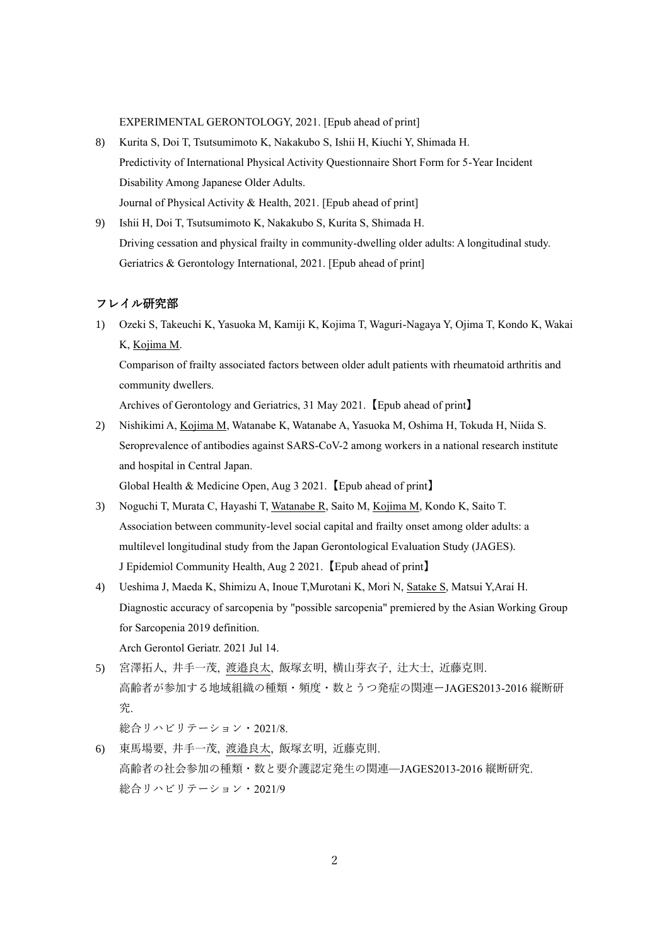EXPERIMENTAL GERONTOLOGY, 2021. [Epub ahead of print]

- 8) Kurita S, Doi T, Tsutsumimoto K, Nakakubo S, Ishii H, Kiuchi Y, Shimada H. Predictivity of International Physical Activity Questionnaire Short Form for 5-Year Incident Disability Among Japanese Older Adults. Journal of Physical Activity & Health, 2021. [Epub ahead of print]
- 9) Ishii H, Doi T, Tsutsumimoto K, Nakakubo S, Kurita S, Shimada H. Driving cessation and physical frailty in community-dwelling older adults: A longitudinal study. Geriatrics & Gerontology International, 2021. [Epub ahead of print]

## フレイル研究部

1) Ozeki S, Takeuchi K, Yasuoka M, Kamiji K, Kojima T, Waguri-Nagaya Y, Ojima T, Kondo K, Wakai K, Kojima M.

Comparison of frailty associated factors between older adult patients with rheumatoid arthritis and community dwellers.

Archives of Gerontology and Geriatrics, 31 May 2021.【Epub ahead of print】

- 2) Nishikimi A, Kojima M, Watanabe K, Watanabe A, Yasuoka M, Oshima H, Tokuda H, Niida S. Seroprevalence of antibodies against SARS-CoV-2 among workers in a national research institute and hospital in Central Japan. Global Health & Medicine Open, Aug 3 2021.【Epub ahead of print】
- 3) Noguchi T, Murata C, Hayashi T, Watanabe R, Saito M, Kojima M, Kondo K, Saito T. Association between community-level social capital and frailty onset among older adults: a multilevel longitudinal study from the Japan Gerontological Evaluation Study (JAGES). J Epidemiol Community Health, Aug 2 2021.【Epub ahead of print】
- 4) Ueshima J, Maeda K, Shimizu A, Inoue T,Murotani K, Mori N, Satake S, Matsui Y,Arai H. Diagnostic accuracy of sarcopenia by "possible sarcopenia" premiered by the Asian Working Group for Sarcopenia 2019 definition. Arch Gerontol Geriatr. 2021 Jul 14.
- 5) 宮澤拓人, 井手一茂, 渡邉良太, 飯塚玄明, 横山芽衣子, 辻大士, 近藤克則. 高齢者が参加する地域組織の種類・頻度・数とうつ発症の関連ーJAGES2013-2016 縦断研 究. 総合リハビリテーション・2021/8.
- 6) 東馬場要, 井手一茂, 渡邉良太, 飯塚玄明, 近藤克則.
- 高齢者の社会参加の種類・数と要介護認定発生の関連—JAGES2013-2016 縦断研究. 総合リハビリテーション・2021/9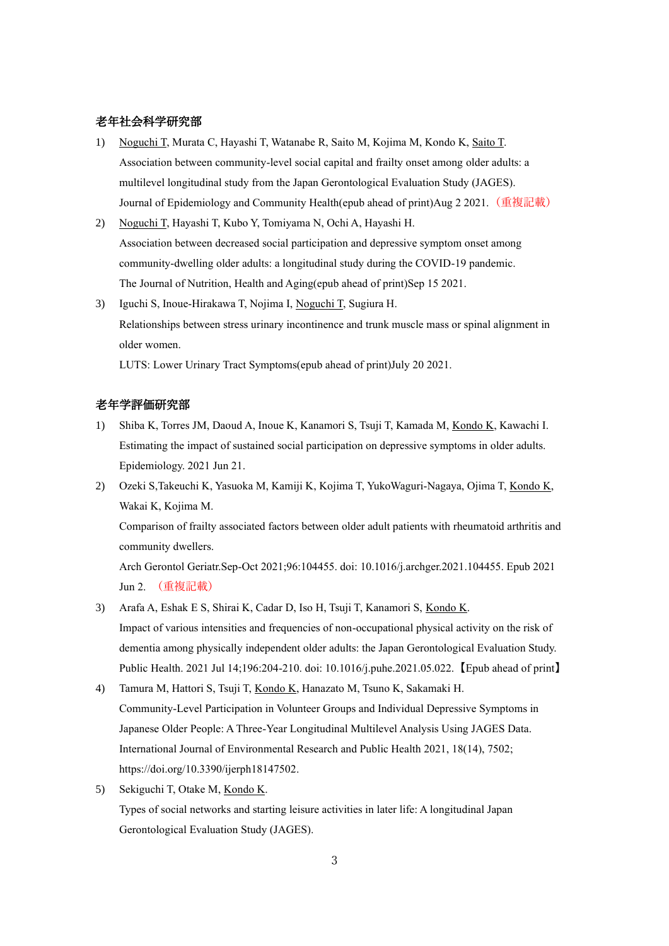# 老年社会科学研究部

- 1) Noguchi T, Murata C, Hayashi T, Watanabe R, Saito M, Kojima M, Kondo K, Saito T. Association between community-level social capital and frailty onset among older adults: a multilevel longitudinal study from the Japan Gerontological Evaluation Study (JAGES). Journal of Epidemiology and Community Health(epub ahead of print)Aug 2 2021.(重複記載)
- 2) Noguchi T, Hayashi T, Kubo Y, Tomiyama N, Ochi A, Hayashi H. Association between decreased social participation and depressive symptom onset among community-dwelling older adults: a longitudinal study during the COVID-19 pandemic. The Journal of Nutrition, Health and Aging(epub ahead of print)Sep 15 2021.
- 3) Iguchi S, Inoue‐Hirakawa T, Nojima I, Noguchi T, Sugiura H. Relationships between stress urinary incontinence and trunk muscle mass or spinal alignment in older women.

LUTS: Lower Urinary Tract Symptoms(epub ahead of print)July 20 2021.

### 老年学評価研究部

- 1) Shiba K, Torres JM, Daoud A, Inoue K, Kanamori S, Tsuji T, Kamada M, Kondo K, Kawachi I. Estimating the impact of sustained social participation on depressive symptoms in older adults. Epidemiology. 2021 Jun 21.
- 2) Ozeki S,Takeuchi K, Yasuoka M, Kamiji K, Kojima T, YukoWaguri-Nagaya, Ojima T, Kondo K, Wakai K, Kojima M.

Comparison of frailty associated factors between older adult patients with rheumatoid arthritis and community dwellers.

Arch Gerontol Geriatr.Sep-Oct 2021;96:104455. doi: 10.1016/j.archger.2021.104455. Epub 2021 Jun 2. (重複記載)

- 3) Arafa A, Eshak E S, Shirai K, Cadar D, Iso H, Tsuji T, Kanamori S, Kondo K. Impact of various intensities and frequencies of non-occupational physical activity on the risk of dementia among physically independent older adults: the Japan Gerontological Evaluation Study. Public Health. 2021 Jul 14;196:204-210. doi: 10.1016/j.puhe.2021.05.022.【Epub ahead of print】
- 4) Tamura M, Hattori S, Tsuji T, Kondo K, Hanazato M, Tsuno K, Sakamaki H. Community-Level Participation in Volunteer Groups and Individual Depressive Symptoms in Japanese Older People: A Three-Year Longitudinal Multilevel Analysis Using JAGES Data. International Journal of Environmental Research and Public Health 2021, 18(14), 7502; https://doi.org/10.3390/ijerph18147502.
- 5) Sekiguchi T, Otake M, Kondo K.

Types of social networks and starting leisure activities in later life: A longitudinal Japan Gerontological Evaluation Study (JAGES).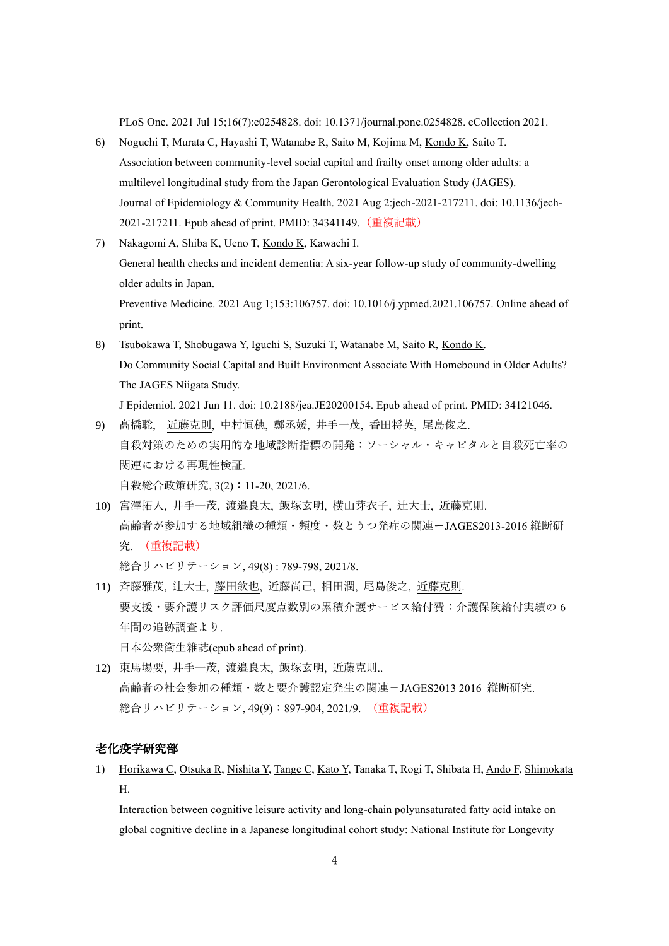PLoS One. 2021 Jul 15;16(7):e0254828. doi: 10.1371/journal.pone.0254828. eCollection 2021.

- 6) Noguchi T, Murata C, Hayashi T, Watanabe R, Saito M, Kojima M, Kondo K, Saito T. Association between community-level social capital and frailty onset among older adults: a multilevel longitudinal study from the Japan Gerontological Evaluation Study (JAGES). Journal of Epidemiology & Community Health. 2021 Aug 2:jech-2021-217211. doi: 10.1136/jech-2021-217211. Epub ahead of print. PMID: 34341149.(重複記載)
- 7) Nakagomi A, Shiba K, Ueno T, Kondo K, Kawachi I. General health checks and incident dementia: A six-year follow-up study of community-dwelling older adults in Japan. Preventive Medicine. 2021 Aug 1;153:106757. doi: 10.1016/j.ypmed.2021.106757. Online ahead of print.
- 8) Tsubokawa T, Shobugawa Y, Iguchi S, Suzuki T, Watanabe M, Saito R, Kondo K. Do Community Social Capital and Built Environment Associate With Homebound in Older Adults? The JAGES Niigata Study. J Epidemiol. 2021 Jun 11. doi: 10.2188/jea.JE20200154. Epub ahead of print. PMID: 34121046.
- 9) 髙橋聡, 近藤克則, 中村恒穂, 鄭丞媛, 井手一茂, 香田将英, 尾島俊之. 自殺対策のための実用的な地域診断指標の開発:ソーシャル・キャピタルと自殺死亡率の 関連における再現性検証. 自殺総合政策研究, 3(2):11-20, 2021/6.
- 10) 宮澤拓人, 井手一茂, 渡邉良太, 飯塚玄明, 横山芽衣子, 辻大士, 近藤克則. 高齢者が参加する地域組織の種類・頻度・数とうつ発症の関連ーJAGES2013-2016 縦断研 究. (重複記載)
	- 総合リハビリテーション, 49(8) : 789-798, 2021/8.
- 11) 斉藤雅茂, 辻大士, 藤田欽也, 近藤尚己, 相田潤, 尾島俊之, 近藤克則. 要支援・要介護リスク評価尺度点数別の累積介護サービス給付費:介護保険給付実績の 6 年間の追跡調査より. 日本公衆衛生雑誌(epub ahead of print).
- 12) 東馬場要, 井手一茂, 渡邉良太, 飯塚玄明, 近藤克則.. 高齢者の社会参加の種類・数と要介護認定発生の関連-JAGES2013 2016 縦断研究. 総合リハビリテーション, 49(9):897-904, 2021/9. (重複記載)

## 老化疫学研究部

1) Horikawa C, Otsuka R, Nishita Y, Tange C, Kato Y, Tanaka T, Rogi T, Shibata H, Ando F, Shimokata H.

Interaction between cognitive leisure activity and long-chain polyunsaturated fatty acid intake on global cognitive decline in a Japanese longitudinal cohort study: National Institute for Longevity